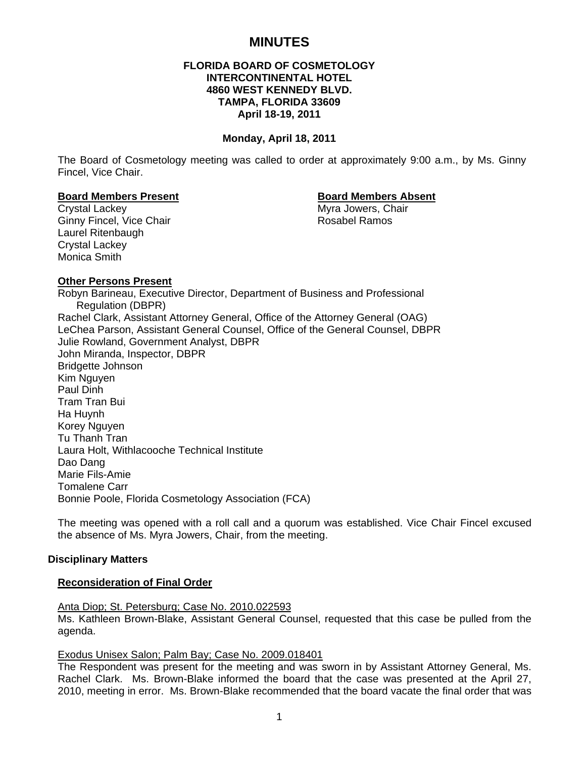# **MINUTES**

# **FLORIDA BOARD OF COSMETOLOGY INTERCONTINENTAL HOTEL 4860 WEST KENNEDY BLVD. TAMPA, FLORIDA 33609 April 18-19, 2011**

## **Monday, April 18, 2011**

The Board of Cosmetology meeting was called to order at approximately 9:00 a.m., by Ms. Ginny Fincel, Vice Chair.

## **Board Members Present Community Community Board Members Absent**

Crystal Lackey **Myra Jowers**, Chair Ginny Fincel, Vice Chair **Rosabel Ramos** Rosabel Ramos Laurel Ritenbaugh Crystal Lackey Monica Smith

## **Other Persons Present**

Robyn Barineau, Executive Director, Department of Business and Professional Regulation (DBPR) Rachel Clark, Assistant Attorney General, Office of the Attorney General (OAG) LeChea Parson, Assistant General Counsel, Office of the General Counsel, DBPR Julie Rowland, Government Analyst, DBPR John Miranda, Inspector, DBPR Bridgette Johnson Kim Nguyen Paul Dinh Tram Tran Bui Ha Huynh Korey Nguyen Tu Thanh Tran Laura Holt, Withlacooche Technical Institute Dao Dang Marie Fils-Amie Tomalene Carr Bonnie Poole, Florida Cosmetology Association (FCA)

The meeting was opened with a roll call and a quorum was established. Vice Chair Fincel excused the absence of Ms. Myra Jowers, Chair, from the meeting.

## **Disciplinary Matters**

## **Reconsideration of Final Order**

Anta Diop; St. Petersburg; Case No. 2010.022593 Ms. Kathleen Brown-Blake, Assistant General Counsel, requested that this case be pulled from the agenda.

## Exodus Unisex Salon; Palm Bay; Case No. 2009.018401

The Respondent was present for the meeting and was sworn in by Assistant Attorney General, Ms. Rachel Clark. Ms. Brown-Blake informed the board that the case was presented at the April 27, 2010, meeting in error. Ms. Brown-Blake recommended that the board vacate the final order that was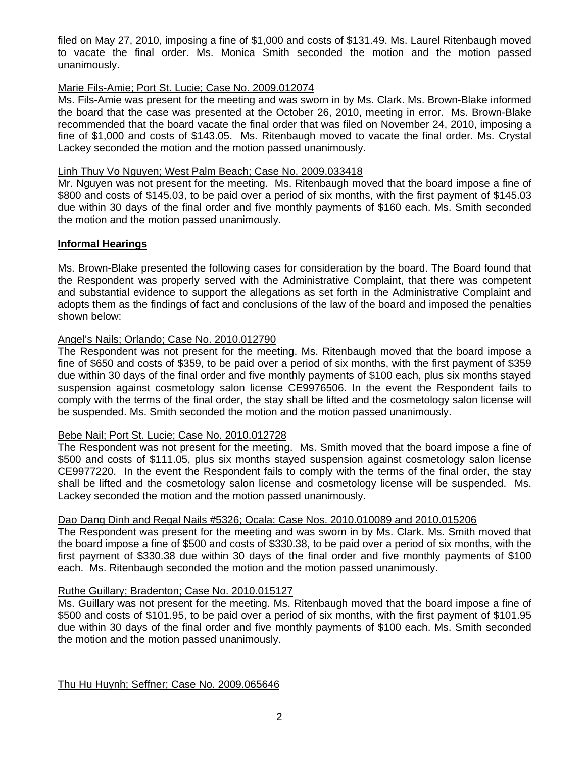filed on May 27, 2010, imposing a fine of \$1,000 and costs of \$131.49. Ms. Laurel Ritenbaugh moved to vacate the final order. Ms. Monica Smith seconded the motion and the motion passed unanimously.

# Marie Fils-Amie; Port St. Lucie; Case No. 2009.012074

Ms. Fils-Amie was present for the meeting and was sworn in by Ms. Clark. Ms. Brown-Blake informed the board that the case was presented at the October 26, 2010, meeting in error. Ms. Brown-Blake recommended that the board vacate the final order that was filed on November 24, 2010, imposing a fine of \$1,000 and costs of \$143.05. Ms. Ritenbaugh moved to vacate the final order. Ms. Crystal Lackey seconded the motion and the motion passed unanimously.

## Linh Thuy Vo Nguyen; West Palm Beach; Case No. 2009.033418

Mr. Nguyen was not present for the meeting. Ms. Ritenbaugh moved that the board impose a fine of \$800 and costs of \$145.03, to be paid over a period of six months, with the first payment of \$145.03 due within 30 days of the final order and five monthly payments of \$160 each. Ms. Smith seconded the motion and the motion passed unanimously.

# **Informal Hearings**

Ms. Brown-Blake presented the following cases for consideration by the board. The Board found that the Respondent was properly served with the Administrative Complaint, that there was competent and substantial evidence to support the allegations as set forth in the Administrative Complaint and adopts them as the findings of fact and conclusions of the law of the board and imposed the penalties shown below:

# Angel's Nails; Orlando; Case No. 2010.012790

The Respondent was not present for the meeting. Ms. Ritenbaugh moved that the board impose a fine of \$650 and costs of \$359, to be paid over a period of six months, with the first payment of \$359 due within 30 days of the final order and five monthly payments of \$100 each, plus six months stayed suspension against cosmetology salon license CE9976506. In the event the Respondent fails to comply with the terms of the final order, the stay shall be lifted and the cosmetology salon license will be suspended. Ms. Smith seconded the motion and the motion passed unanimously.

## Bebe Nail; Port St. Lucie; Case No. 2010.012728

The Respondent was not present for the meeting. Ms. Smith moved that the board impose a fine of \$500 and costs of \$111.05, plus six months stayed suspension against cosmetology salon license CE9977220. In the event the Respondent fails to comply with the terms of the final order, the stay shall be lifted and the cosmetology salon license and cosmetology license will be suspended. Ms. Lackey seconded the motion and the motion passed unanimously.

# Dao Dang Dinh and Regal Nails #5326; Ocala; Case Nos. 2010.010089 and 2010.015206

The Respondent was present for the meeting and was sworn in by Ms. Clark. Ms. Smith moved that the board impose a fine of \$500 and costs of \$330.38, to be paid over a period of six months, with the first payment of \$330.38 due within 30 days of the final order and five monthly payments of \$100 each. Ms. Ritenbaugh seconded the motion and the motion passed unanimously.

# Ruthe Guillary; Bradenton; Case No. 2010.015127

Ms. Guillary was not present for the meeting. Ms. Ritenbaugh moved that the board impose a fine of \$500 and costs of \$101.95, to be paid over a period of six months, with the first payment of \$101.95 due within 30 days of the final order and five monthly payments of \$100 each. Ms. Smith seconded the motion and the motion passed unanimously.

Thu Hu Huynh; Seffner; Case No. 2009.065646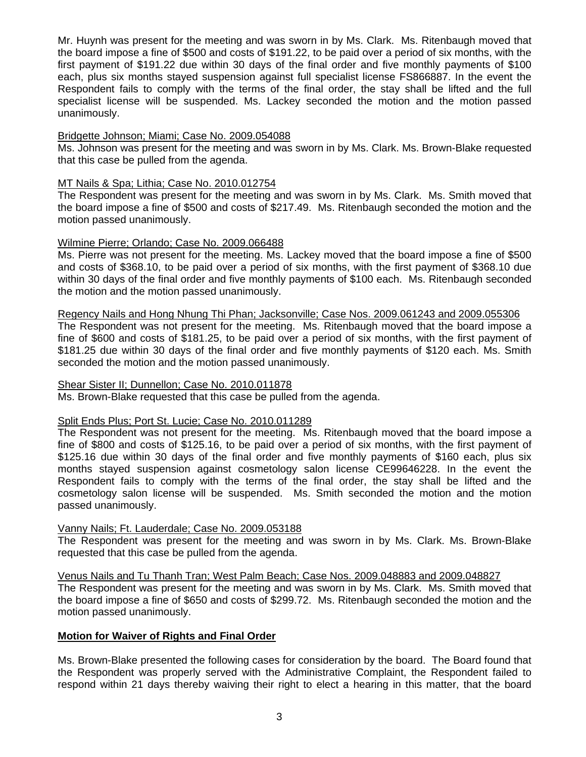Mr. Huynh was present for the meeting and was sworn in by Ms. Clark. Ms. Ritenbaugh moved that the board impose a fine of \$500 and costs of \$191.22, to be paid over a period of six months, with the first payment of \$191.22 due within 30 days of the final order and five monthly payments of \$100 each, plus six months stayed suspension against full specialist license FS866887. In the event the Respondent fails to comply with the terms of the final order, the stay shall be lifted and the full specialist license will be suspended. Ms. Lackey seconded the motion and the motion passed unanimously.

# Bridgette Johnson; Miami; Case No. 2009.054088

Ms. Johnson was present for the meeting and was sworn in by Ms. Clark. Ms. Brown-Blake requested that this case be pulled from the agenda.

## MT Nails & Spa; Lithia; Case No. 2010.012754

The Respondent was present for the meeting and was sworn in by Ms. Clark. Ms. Smith moved that the board impose a fine of \$500 and costs of \$217.49. Ms. Ritenbaugh seconded the motion and the motion passed unanimously.

## Wilmine Pierre; Orlando; Case No. 2009.066488

Ms. Pierre was not present for the meeting. Ms. Lackey moved that the board impose a fine of \$500 and costs of \$368.10, to be paid over a period of six months, with the first payment of \$368.10 due within 30 days of the final order and five monthly payments of \$100 each. Ms. Ritenbaugh seconded the motion and the motion passed unanimously.

# Regency Nails and Hong Nhung Thi Phan; Jacksonville; Case Nos. 2009.061243 and 2009.055306

The Respondent was not present for the meeting. Ms. Ritenbaugh moved that the board impose a fine of \$600 and costs of \$181.25, to be paid over a period of six months, with the first payment of \$181.25 due within 30 days of the final order and five monthly payments of \$120 each. Ms. Smith seconded the motion and the motion passed unanimously.

## Shear Sister II; Dunnellon; Case No. 2010.011878

Ms. Brown-Blake requested that this case be pulled from the agenda.

## Split Ends Plus; Port St. Lucie; Case No. 2010.011289

The Respondent was not present for the meeting. Ms. Ritenbaugh moved that the board impose a fine of \$800 and costs of \$125.16, to be paid over a period of six months, with the first payment of \$125.16 due within 30 days of the final order and five monthly payments of \$160 each, plus six months stayed suspension against cosmetology salon license CE99646228. In the event the Respondent fails to comply with the terms of the final order, the stay shall be lifted and the cosmetology salon license will be suspended. Ms. Smith seconded the motion and the motion passed unanimously.

## Vanny Nails; Ft. Lauderdale; Case No. 2009.053188

The Respondent was present for the meeting and was sworn in by Ms. Clark. Ms. Brown-Blake requested that this case be pulled from the agenda.

Venus Nails and Tu Thanh Tran; West Palm Beach; Case Nos. 2009.048883 and 2009.048827

The Respondent was present for the meeting and was sworn in by Ms. Clark. Ms. Smith moved that the board impose a fine of \$650 and costs of \$299.72. Ms. Ritenbaugh seconded the motion and the motion passed unanimously.

## **Motion for Waiver of Rights and Final Order**

Ms. Brown-Blake presented the following cases for consideration by the board. The Board found that the Respondent was properly served with the Administrative Complaint, the Respondent failed to respond within 21 days thereby waiving their right to elect a hearing in this matter, that the board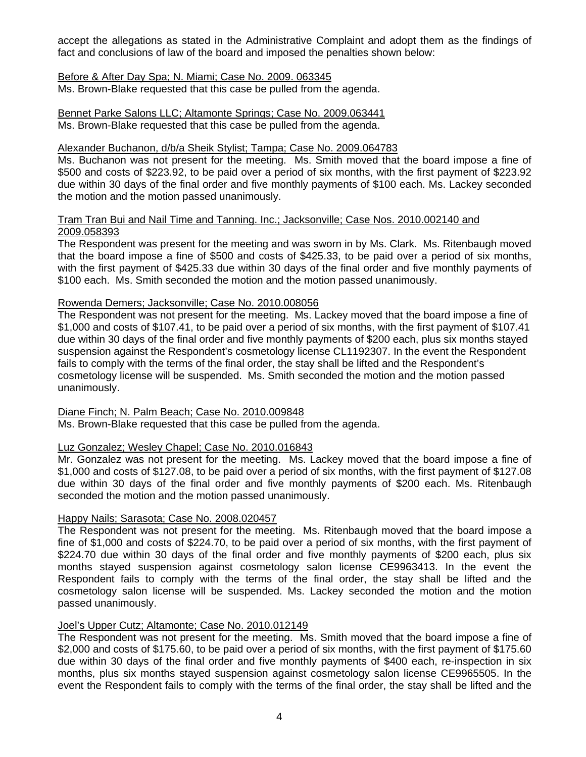accept the allegations as stated in the Administrative Complaint and adopt them as the findings of fact and conclusions of law of the board and imposed the penalties shown below:

## Before & After Day Spa; N. Miami; Case No. 2009. 063345

Ms. Brown-Blake requested that this case be pulled from the agenda.

Bennet Parke Salons LLC; Altamonte Springs; Case No. 2009.063441 Ms. Brown-Blake requested that this case be pulled from the agenda.

## Alexander Buchanon, d/b/a Sheik Stylist; Tampa; Case No. 2009.064783

Ms. Buchanon was not present for the meeting. Ms. Smith moved that the board impose a fine of \$500 and costs of \$223.92, to be paid over a period of six months, with the first payment of \$223.92 due within 30 days of the final order and five monthly payments of \$100 each. Ms. Lackey seconded the motion and the motion passed unanimously.

## Tram Tran Bui and Nail Time and Tanning. Inc.; Jacksonville; Case Nos. 2010.002140 and 2009.058393

The Respondent was present for the meeting and was sworn in by Ms. Clark. Ms. Ritenbaugh moved that the board impose a fine of \$500 and costs of \$425.33, to be paid over a period of six months, with the first payment of \$425.33 due within 30 days of the final order and five monthly payments of \$100 each. Ms. Smith seconded the motion and the motion passed unanimously.

## Rowenda Demers; Jacksonville; Case No. 2010.008056

The Respondent was not present for the meeting. Ms. Lackey moved that the board impose a fine of \$1,000 and costs of \$107.41, to be paid over a period of six months, with the first payment of \$107.41 due within 30 days of the final order and five monthly payments of \$200 each, plus six months stayed suspension against the Respondent's cosmetology license CL1192307. In the event the Respondent fails to comply with the terms of the final order, the stay shall be lifted and the Respondent's cosmetology license will be suspended. Ms. Smith seconded the motion and the motion passed unanimously.

## Diane Finch; N. Palm Beach; Case No. 2010.009848

Ms. Brown-Blake requested that this case be pulled from the agenda.

## Luz Gonzalez; Wesley Chapel; Case No. 2010.016843

Mr. Gonzalez was not present for the meeting. Ms. Lackey moved that the board impose a fine of \$1,000 and costs of \$127.08, to be paid over a period of six months, with the first payment of \$127.08 due within 30 days of the final order and five monthly payments of \$200 each. Ms. Ritenbaugh seconded the motion and the motion passed unanimously.

## Happy Nails; Sarasota; Case No. 2008.020457

The Respondent was not present for the meeting. Ms. Ritenbaugh moved that the board impose a fine of \$1,000 and costs of \$224.70, to be paid over a period of six months, with the first payment of \$224.70 due within 30 days of the final order and five monthly payments of \$200 each, plus six months stayed suspension against cosmetology salon license CE9963413. In the event the Respondent fails to comply with the terms of the final order, the stay shall be lifted and the cosmetology salon license will be suspended. Ms. Lackey seconded the motion and the motion passed unanimously.

## Joel's Upper Cutz; Altamonte; Case No. 2010.012149

The Respondent was not present for the meeting. Ms. Smith moved that the board impose a fine of \$2,000 and costs of \$175.60, to be paid over a period of six months, with the first payment of \$175.60 due within 30 days of the final order and five monthly payments of \$400 each, re-inspection in six months, plus six months stayed suspension against cosmetology salon license CE9965505. In the event the Respondent fails to comply with the terms of the final order, the stay shall be lifted and the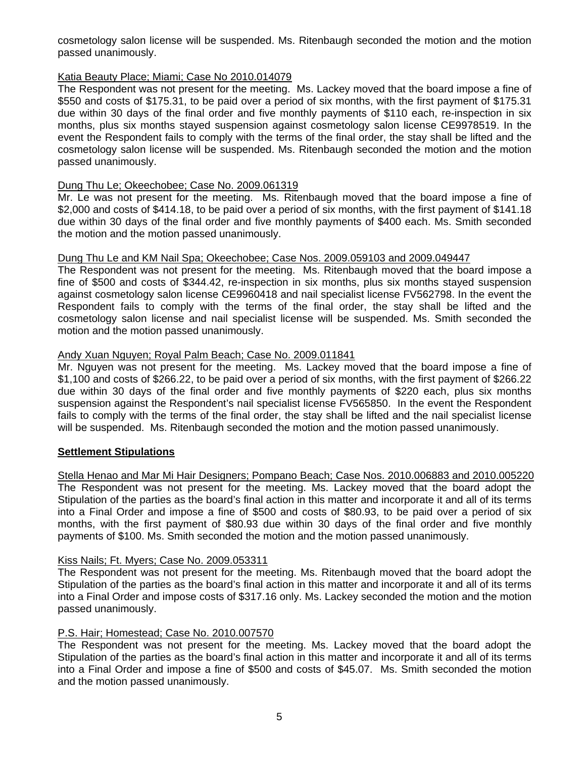cosmetology salon license will be suspended. Ms. Ritenbaugh seconded the motion and the motion passed unanimously.

# Katia Beauty Place; Miami; Case No 2010.014079

The Respondent was not present for the meeting. Ms. Lackey moved that the board impose a fine of \$550 and costs of \$175.31, to be paid over a period of six months, with the first payment of \$175.31 due within 30 days of the final order and five monthly payments of \$110 each, re-inspection in six months, plus six months stayed suspension against cosmetology salon license CE9978519. In the event the Respondent fails to comply with the terms of the final order, the stay shall be lifted and the cosmetology salon license will be suspended. Ms. Ritenbaugh seconded the motion and the motion passed unanimously.

# Dung Thu Le; Okeechobee; Case No. 2009.061319

Mr. Le was not present for the meeting. Ms. Ritenbaugh moved that the board impose a fine of \$2,000 and costs of \$414.18, to be paid over a period of six months, with the first payment of \$141.18 due within 30 days of the final order and five monthly payments of \$400 each. Ms. Smith seconded the motion and the motion passed unanimously.

# Dung Thu Le and KM Nail Spa; Okeechobee; Case Nos. 2009.059103 and 2009.049447

The Respondent was not present for the meeting. Ms. Ritenbaugh moved that the board impose a fine of \$500 and costs of \$344.42, re-inspection in six months, plus six months stayed suspension against cosmetology salon license CE9960418 and nail specialist license FV562798. In the event the Respondent fails to comply with the terms of the final order, the stay shall be lifted and the cosmetology salon license and nail specialist license will be suspended. Ms. Smith seconded the motion and the motion passed unanimously.

# Andy Xuan Nguyen; Royal Palm Beach; Case No. 2009.011841

Mr. Nguyen was not present for the meeting. Ms. Lackey moved that the board impose a fine of \$1,100 and costs of \$266.22, to be paid over a period of six months, with the first payment of \$266.22 due within 30 days of the final order and five monthly payments of \$220 each, plus six months suspension against the Respondent's nail specialist license FV565850. In the event the Respondent fails to comply with the terms of the final order, the stay shall be lifted and the nail specialist license will be suspended. Ms. Ritenbaugh seconded the motion and the motion passed unanimously.

# **Settlement Stipulations**

Stella Henao and Mar Mi Hair Designers; Pompano Beach; Case Nos. 2010.006883 and 2010.005220 The Respondent was not present for the meeting. Ms. Lackey moved that the board adopt the Stipulation of the parties as the board's final action in this matter and incorporate it and all of its terms into a Final Order and impose a fine of \$500 and costs of \$80.93, to be paid over a period of six months, with the first payment of \$80.93 due within 30 days of the final order and five monthly payments of \$100. Ms. Smith seconded the motion and the motion passed unanimously.

## Kiss Nails; Ft. Myers; Case No. 2009.053311

The Respondent was not present for the meeting. Ms. Ritenbaugh moved that the board adopt the Stipulation of the parties as the board's final action in this matter and incorporate it and all of its terms into a Final Order and impose costs of \$317.16 only. Ms. Lackey seconded the motion and the motion passed unanimously.

# P.S. Hair; Homestead; Case No. 2010.007570

The Respondent was not present for the meeting. Ms. Lackey moved that the board adopt the Stipulation of the parties as the board's final action in this matter and incorporate it and all of its terms into a Final Order and impose a fine of \$500 and costs of \$45.07. Ms. Smith seconded the motion and the motion passed unanimously.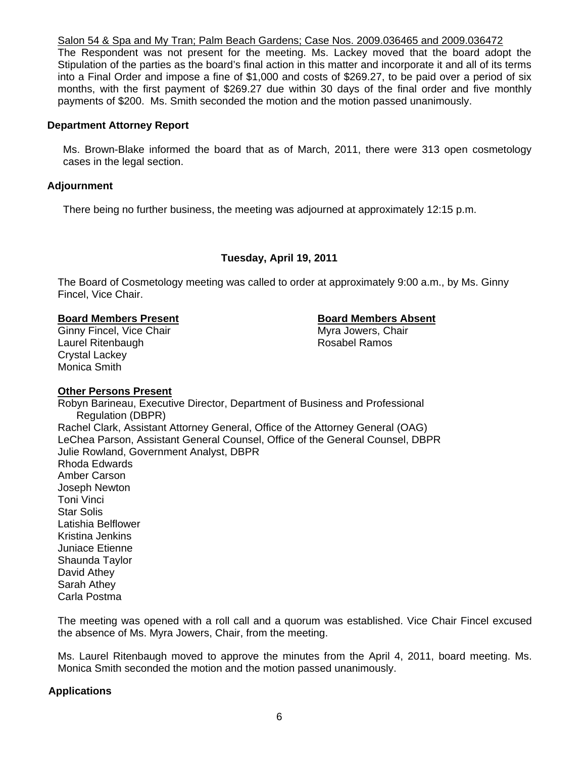Salon 54 & Spa and My Tran; Palm Beach Gardens; Case Nos. 2009.036465 and 2009.036472

The Respondent was not present for the meeting. Ms. Lackey moved that the board adopt the Stipulation of the parties as the board's final action in this matter and incorporate it and all of its terms into a Final Order and impose a fine of \$1,000 and costs of \$269.27, to be paid over a period of six months, with the first payment of \$269.27 due within 30 days of the final order and five monthly payments of \$200. Ms. Smith seconded the motion and the motion passed unanimously.

## **Department Attorney Report**

Ms. Brown-Blake informed the board that as of March, 2011, there were 313 open cosmetology cases in the legal section.

## **Adjournment**

There being no further business, the meeting was adjourned at approximately 12:15 p.m.

## **Tuesday, April 19, 2011**

The Board of Cosmetology meeting was called to order at approximately 9:00 a.m., by Ms. Ginny Fincel, Vice Chair.

## **Board Members Present Communist Board Members Absent**

Ginny Fincel, Vice Chair Myra Jowers, Chair Laurel Ritenbaugh **Rosabel Ramos** Rosabel Ramos Crystal Lackey Monica Smith

## **Other Persons Present**

Robyn Barineau, Executive Director, Department of Business and Professional Regulation (DBPR) Rachel Clark, Assistant Attorney General, Office of the Attorney General (OAG) LeChea Parson, Assistant General Counsel, Office of the General Counsel, DBPR Julie Rowland, Government Analyst, DBPR Rhoda Edwards Amber Carson Joseph Newton Toni Vinci Star Solis Latishia Belflower Kristina Jenkins Juniace Etienne Shaunda Taylor David Athey Sarah Athey Carla Postma

The meeting was opened with a roll call and a quorum was established. Vice Chair Fincel excused the absence of Ms. Myra Jowers, Chair, from the meeting.

Ms. Laurel Ritenbaugh moved to approve the minutes from the April 4, 2011, board meeting. Ms. Monica Smith seconded the motion and the motion passed unanimously.

## **Applications**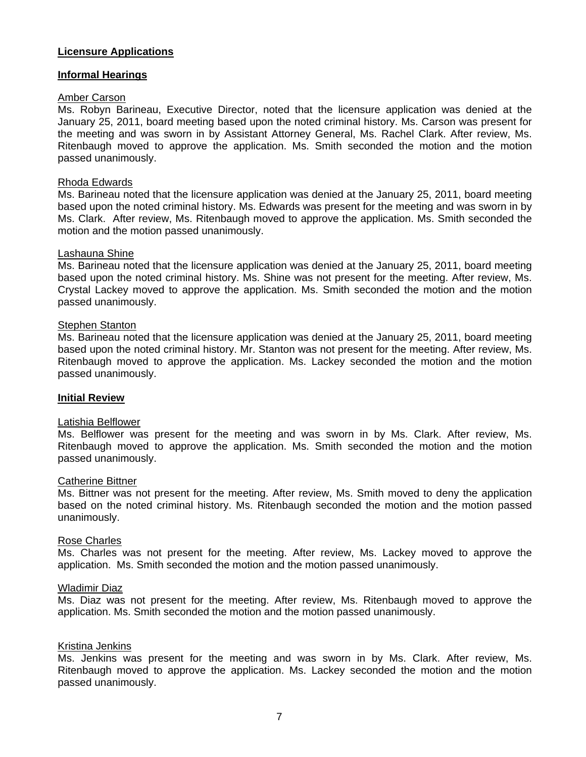# **Licensure Applications**

## **Informal Hearings**

## Amber Carson

Ms. Robyn Barineau, Executive Director, noted that the licensure application was denied at the January 25, 2011, board meeting based upon the noted criminal history. Ms. Carson was present for the meeting and was sworn in by Assistant Attorney General, Ms. Rachel Clark. After review, Ms. Ritenbaugh moved to approve the application. Ms. Smith seconded the motion and the motion passed unanimously.

## Rhoda Edwards

Ms. Barineau noted that the licensure application was denied at the January 25, 2011, board meeting based upon the noted criminal history. Ms. Edwards was present for the meeting and was sworn in by Ms. Clark. After review, Ms. Ritenbaugh moved to approve the application. Ms. Smith seconded the motion and the motion passed unanimously.

## Lashauna Shine

Ms. Barineau noted that the licensure application was denied at the January 25, 2011, board meeting based upon the noted criminal history. Ms. Shine was not present for the meeting. After review, Ms. Crystal Lackey moved to approve the application. Ms. Smith seconded the motion and the motion passed unanimously.

## Stephen Stanton

Ms. Barineau noted that the licensure application was denied at the January 25, 2011, board meeting based upon the noted criminal history. Mr. Stanton was not present for the meeting. After review, Ms. Ritenbaugh moved to approve the application. Ms. Lackey seconded the motion and the motion passed unanimously.

## **Initial Review**

## Latishia Belflower

Ms. Belflower was present for the meeting and was sworn in by Ms. Clark. After review, Ms. Ritenbaugh moved to approve the application. Ms. Smith seconded the motion and the motion passed unanimously.

#### Catherine Bittner

Ms. Bittner was not present for the meeting. After review, Ms. Smith moved to deny the application based on the noted criminal history. Ms. Ritenbaugh seconded the motion and the motion passed unanimously.

#### Rose Charles

Ms. Charles was not present for the meeting. After review, Ms. Lackey moved to approve the application. Ms. Smith seconded the motion and the motion passed unanimously.

#### Wladimir Diaz

Ms. Diaz was not present for the meeting. After review, Ms. Ritenbaugh moved to approve the application. Ms. Smith seconded the motion and the motion passed unanimously.

## Kristina Jenkins

Ms. Jenkins was present for the meeting and was sworn in by Ms. Clark. After review, Ms. Ritenbaugh moved to approve the application. Ms. Lackey seconded the motion and the motion passed unanimously.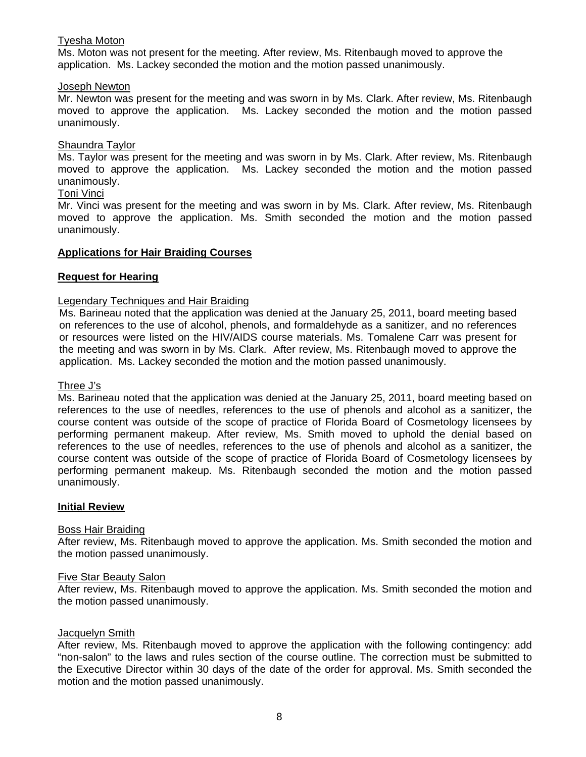# Tyesha Moton

Ms. Moton was not present for the meeting. After review, Ms. Ritenbaugh moved to approve the application. Ms. Lackey seconded the motion and the motion passed unanimously.

## Joseph Newton

Mr. Newton was present for the meeting and was sworn in by Ms. Clark. After review, Ms. Ritenbaugh moved to approve the application. Ms. Lackey seconded the motion and the motion passed unanimously.

# Shaundra Taylor

Ms. Taylor was present for the meeting and was sworn in by Ms. Clark. After review, Ms. Ritenbaugh moved to approve the application. Ms. Lackey seconded the motion and the motion passed unanimously.

# Toni Vinci

Mr. Vinci was present for the meeting and was sworn in by Ms. Clark. After review, Ms. Ritenbaugh moved to approve the application. Ms. Smith seconded the motion and the motion passed unanimously.

# **Applications for Hair Braiding Courses**

# **Request for Hearing**

# Legendary Techniques and Hair Braiding

Ms. Barineau noted that the application was denied at the January 25, 2011, board meeting based on references to the use of alcohol, phenols, and formaldehyde as a sanitizer, and no references or resources were listed on the HIV/AIDS course materials. Ms. Tomalene Carr was present for the meeting and was sworn in by Ms. Clark. After review, Ms. Ritenbaugh moved to approve the application. Ms. Lackey seconded the motion and the motion passed unanimously.

## Three J's

Ms. Barineau noted that the application was denied at the January 25, 2011, board meeting based on references to the use of needles, references to the use of phenols and alcohol as a sanitizer, the course content was outside of the scope of practice of Florida Board of Cosmetology licensees by performing permanent makeup. After review, Ms. Smith moved to uphold the denial based on references to the use of needles, references to the use of phenols and alcohol as a sanitizer, the course content was outside of the scope of practice of Florida Board of Cosmetology licensees by performing permanent makeup. Ms. Ritenbaugh seconded the motion and the motion passed unanimously.

## **Initial Review**

## Boss Hair Braiding

After review, Ms. Ritenbaugh moved to approve the application. Ms. Smith seconded the motion and the motion passed unanimously.

# Five Star Beauty Salon

After review, Ms. Ritenbaugh moved to approve the application. Ms. Smith seconded the motion and the motion passed unanimously.

## Jacquelyn Smith

After review, Ms. Ritenbaugh moved to approve the application with the following contingency: add "non-salon" to the laws and rules section of the course outline. The correction must be submitted to the Executive Director within 30 days of the date of the order for approval. Ms. Smith seconded the motion and the motion passed unanimously.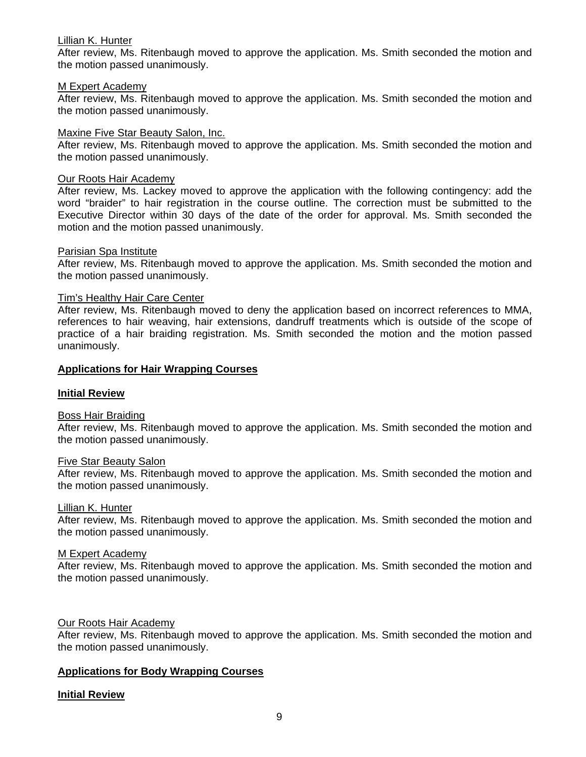## Lillian K. Hunter

After review, Ms. Ritenbaugh moved to approve the application. Ms. Smith seconded the motion and the motion passed unanimously.

## M Expert Academy

After review, Ms. Ritenbaugh moved to approve the application. Ms. Smith seconded the motion and the motion passed unanimously.

## Maxine Five Star Beauty Salon, Inc.

After review, Ms. Ritenbaugh moved to approve the application. Ms. Smith seconded the motion and the motion passed unanimously.

#### Our Roots Hair Academy

After review, Ms. Lackey moved to approve the application with the following contingency: add the word "braider" to hair registration in the course outline. The correction must be submitted to the Executive Director within 30 days of the date of the order for approval. Ms. Smith seconded the motion and the motion passed unanimously.

## Parisian Spa Institute

After review, Ms. Ritenbaugh moved to approve the application. Ms. Smith seconded the motion and the motion passed unanimously.

## Tim's Healthy Hair Care Center

After review, Ms. Ritenbaugh moved to deny the application based on incorrect references to MMA, references to hair weaving, hair extensions, dandruff treatments which is outside of the scope of practice of a hair braiding registration. Ms. Smith seconded the motion and the motion passed unanimously.

## **Applications for Hair Wrapping Courses**

## **Initial Review**

#### Boss Hair Braiding

After review, Ms. Ritenbaugh moved to approve the application. Ms. Smith seconded the motion and the motion passed unanimously.

#### Five Star Beauty Salon

After review, Ms. Ritenbaugh moved to approve the application. Ms. Smith seconded the motion and the motion passed unanimously.

#### Lillian K. Hunter

After review, Ms. Ritenbaugh moved to approve the application. Ms. Smith seconded the motion and the motion passed unanimously.

#### M Expert Academy

After review, Ms. Ritenbaugh moved to approve the application. Ms. Smith seconded the motion and the motion passed unanimously.

## Our Roots Hair Academy

After review, Ms. Ritenbaugh moved to approve the application. Ms. Smith seconded the motion and the motion passed unanimously.

## **Applications for Body Wrapping Courses**

## **Initial Review**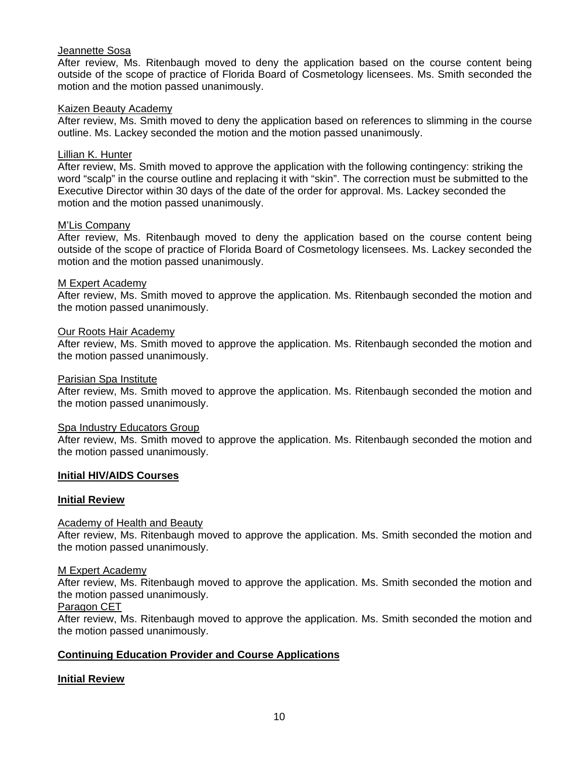# Jeannette Sosa

After review, Ms. Ritenbaugh moved to deny the application based on the course content being outside of the scope of practice of Florida Board of Cosmetology licensees. Ms. Smith seconded the motion and the motion passed unanimously.

## Kaizen Beauty Academy

After review, Ms. Smith moved to deny the application based on references to slimming in the course outline. Ms. Lackey seconded the motion and the motion passed unanimously.

## Lillian K. Hunter

After review, Ms. Smith moved to approve the application with the following contingency: striking the word "scalp" in the course outline and replacing it with "skin". The correction must be submitted to the Executive Director within 30 days of the date of the order for approval. Ms. Lackey seconded the motion and the motion passed unanimously.

## M'Lis Company

After review, Ms. Ritenbaugh moved to deny the application based on the course content being outside of the scope of practice of Florida Board of Cosmetology licensees. Ms. Lackey seconded the motion and the motion passed unanimously.

## M Expert Academy

After review, Ms. Smith moved to approve the application. Ms. Ritenbaugh seconded the motion and the motion passed unanimously.

## Our Roots Hair Academy

After review, Ms. Smith moved to approve the application. Ms. Ritenbaugh seconded the motion and the motion passed unanimously.

#### Parisian Spa Institute

After review, Ms. Smith moved to approve the application. Ms. Ritenbaugh seconded the motion and the motion passed unanimously.

#### Spa Industry Educators Group

After review, Ms. Smith moved to approve the application. Ms. Ritenbaugh seconded the motion and the motion passed unanimously.

## **Initial HIV/AIDS Courses**

## **Initial Review**

#### Academy of Health and Beauty

After review, Ms. Ritenbaugh moved to approve the application. Ms. Smith seconded the motion and the motion passed unanimously.

#### M Expert Academy

After review, Ms. Ritenbaugh moved to approve the application. Ms. Smith seconded the motion and the motion passed unanimously.

## Paragon CET

After review, Ms. Ritenbaugh moved to approve the application. Ms. Smith seconded the motion and the motion passed unanimously.

## **Continuing Education Provider and Course Applications**

## **Initial Review**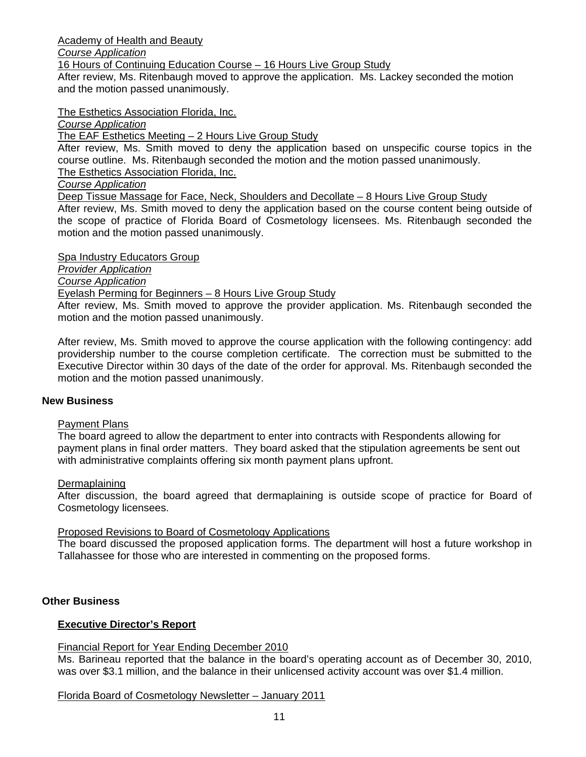Academy of Health and Beauty

*Course Application*

16 Hours of Continuing Education Course – 16 Hours Live Group Study

After review, Ms. Ritenbaugh moved to approve the application. Ms. Lackey seconded the motion and the motion passed unanimously.

The Esthetics Association Florida, Inc.

*Course Application* 

The EAF Esthetics Meeting – 2 Hours Live Group Study

After review, Ms. Smith moved to deny the application based on unspecific course topics in the course outline. Ms. Ritenbaugh seconded the motion and the motion passed unanimously. The Esthetics Association Florida, Inc.

*Course Application* 

Deep Tissue Massage for Face, Neck, Shoulders and Decollate – 8 Hours Live Group Study

After review, Ms. Smith moved to deny the application based on the course content being outside of the scope of practice of Florida Board of Cosmetology licensees. Ms. Ritenbaugh seconded the motion and the motion passed unanimously.

Spa Industry Educators Group

*Provider Application*

*Course Application*

# Eyelash Perming for Beginners – 8 Hours Live Group Study

After review, Ms. Smith moved to approve the provider application. Ms. Ritenbaugh seconded the motion and the motion passed unanimously.

After review, Ms. Smith moved to approve the course application with the following contingency: add providership number to the course completion certificate. The correction must be submitted to the Executive Director within 30 days of the date of the order for approval. Ms. Ritenbaugh seconded the motion and the motion passed unanimously.

# **New Business**

# Payment Plans

The board agreed to allow the department to enter into contracts with Respondents allowing for payment plans in final order matters. They board asked that the stipulation agreements be sent out with administrative complaints offering six month payment plans upfront.

# Dermaplaining

After discussion, the board agreed that dermaplaining is outside scope of practice for Board of Cosmetology licensees.

# Proposed Revisions to Board of Cosmetology Applications

The board discussed the proposed application forms. The department will host a future workshop in Tallahassee for those who are interested in commenting on the proposed forms.

# **Other Business**

# **Executive Director's Report**

# Financial Report for Year Ending December 2010

Ms. Barineau reported that the balance in the board's operating account as of December 30, 2010, was over \$3.1 million, and the balance in their unlicensed activity account was over \$1.4 million.

# Florida Board of Cosmetology Newsletter – January 2011